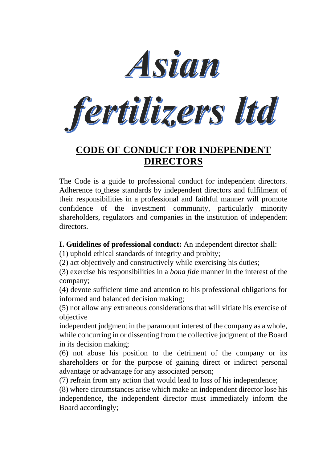



# **CODE OF CONDUCT FOR INDEPENDENT DIRECTORS**

The Code is a guide to professional conduct for independent directors. Adherence to these standards by independent directors and fulfilment of their responsibilities in a professional and faithful manner will promote confidence of the investment community, particularly minority shareholders, regulators and companies in the institution of independent directors.

**I. Guidelines of professional conduct:** An independent director shall:

(1) uphold ethical standards of integrity and probity;

(2) act objectively and constructively while exercising his duties;

(3) exercise his responsibilities in a *bona fide* manner in the interest of the company;

(4) devote sufficient time and attention to his professional obligations for informed and balanced decision making;

(5) not allow any extraneous considerations that will vitiate his exercise of objective

independent judgment in the paramount interest of the company as a whole, while concurring in or dissenting from the collective judgment of the Board in its decision making;

(6) not abuse his position to the detriment of the company or its shareholders or for the purpose of gaining direct or indirect personal advantage or advantage for any associated person;

(7) refrain from any action that would lead to loss of his independence;

(8) where circumstances arise which make an independent director lose his independence, the independent director must immediately inform the Board accordingly;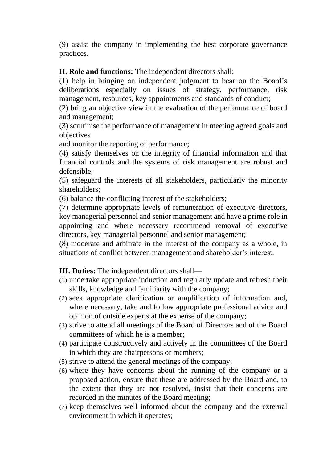(9) assist the company in implementing the best corporate governance practices.

#### **II. Role and functions:** The independent directors shall:

(1) help in bringing an independent judgment to bear on the Board's deliberations especially on issues of strategy, performance, risk management, resources, key appointments and standards of conduct;

(2) bring an objective view in the evaluation of the performance of board and management;

(3) scrutinise the performance of management in meeting agreed goals and objectives

and monitor the reporting of performance;

(4) satisfy themselves on the integrity of financial information and that financial controls and the systems of risk management are robust and defensible;

(5) safeguard the interests of all stakeholders, particularly the minority shareholders;

(6) balance the conflicting interest of the stakeholders;

(7) determine appropriate levels of remuneration of executive directors, key managerial personnel and senior management and have a prime role in appointing and where necessary recommend removal of executive directors, key managerial personnel and senior management;

(8) moderate and arbitrate in the interest of the company as a whole, in situations of conflict between management and shareholder's interest.

**III. Duties:** The independent directors shall—

- (1) undertake appropriate induction and regularly update and refresh their skills, knowledge and familiarity with the company;
- (2) seek appropriate clarification or amplification of information and, where necessary, take and follow appropriate professional advice and opinion of outside experts at the expense of the company;
- (3) strive to attend all meetings of the Board of Directors and of the Board committees of which he is a member;
- (4) participate constructively and actively in the committees of the Board in which they are chairpersons or members;
- (5) strive to attend the general meetings of the company;
- (6) where they have concerns about the running of the company or a proposed action, ensure that these are addressed by the Board and, to the extent that they are not resolved, insist that their concerns are recorded in the minutes of the Board meeting;
- (7) keep themselves well informed about the company and the external environment in which it operates;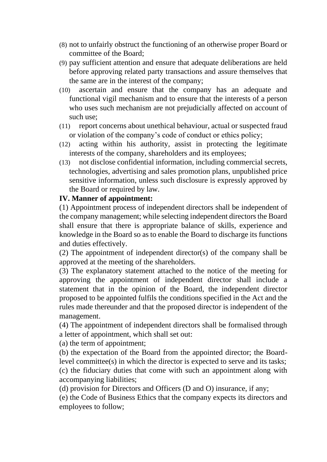- (8) not to unfairly obstruct the functioning of an otherwise proper Board or committee of the Board;
- (9) pay sufficient attention and ensure that adequate deliberations are held before approving related party transactions and assure themselves that the same are in the interest of the company;
- (10) ascertain and ensure that the company has an adequate and functional vigil mechanism and to ensure that the interests of a person who uses such mechanism are not prejudicially affected on account of such use;
- (11) report concerns about unethical behaviour, actual or suspected fraud or violation of the company's code of conduct or ethics policy;
- (12) acting within his authority, assist in protecting the legitimate interests of the company, shareholders and its employees;
- (13) not disclose confidential information, including commercial secrets, technologies, advertising and sales promotion plans, unpublished price sensitive information, unless such disclosure is expressly approved by the Board or required by law.

#### **IV. Manner of appointment:**

(1) Appointment process of independent directors shall be independent of the company management; while selecting independent directors the Board shall ensure that there is appropriate balance of skills, experience and knowledge in the Board so as to enable the Board to discharge its functions and duties effectively.

(2) The appointment of independent director(s) of the company shall be approved at the meeting of the shareholders.

(3) The explanatory statement attached to the notice of the meeting for approving the appointment of independent director shall include a statement that in the opinion of the Board, the independent director proposed to be appointed fulfils the conditions specified in the Act and the rules made thereunder and that the proposed director is independent of the management.

(4) The appointment of independent directors shall be formalised through a letter of appointment, which shall set out:

(a) the term of appointment;

(b) the expectation of the Board from the appointed director; the Boardlevel committee(s) in which the director is expected to serve and its tasks; (c) the fiduciary duties that come with such an appointment along with accompanying liabilities;

(d) provision for Directors and Officers (D and O) insurance, if any;

(e) the Code of Business Ethics that the company expects its directors and employees to follow;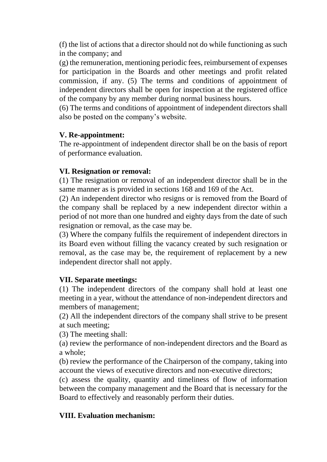(f) the list of actions that a director should not do while functioning as such in the company; and

(g) the remuneration, mentioning periodic fees, reimbursement of expenses for participation in the Boards and other meetings and profit related commission, if any. (5) The terms and conditions of appointment of independent directors shall be open for inspection at the registered office of the company by any member during normal business hours.

(6) The terms and conditions of appointment of independent directors shall also be posted on the company's website.

### **V. Re-appointment:**

The re-appointment of independent director shall be on the basis of report of performance evaluation.

## **VI. Resignation or removal:**

(1) The resignation or removal of an independent director shall be in the same manner as is provided in sections 168 and 169 of the Act.

(2) An independent director who resigns or is removed from the Board of the company shall be replaced by a new independent director within a period of not more than one hundred and eighty days from the date of such resignation or removal, as the case may be.

(3) Where the company fulfils the requirement of independent directors in its Board even without filling the vacancy created by such resignation or removal, as the case may be, the requirement of replacement by a new independent director shall not apply.

### **VII. Separate meetings:**

(1) The independent directors of the company shall hold at least one meeting in a year, without the attendance of non-independent directors and members of management;

(2) All the independent directors of the company shall strive to be present at such meeting;

(3) The meeting shall:

(a) review the performance of non-independent directors and the Board as a whole;

(b) review the performance of the Chairperson of the company, taking into account the views of executive directors and non-executive directors;

(c) assess the quality, quantity and timeliness of flow of information between the company management and the Board that is necessary for the Board to effectively and reasonably perform their duties.

### **VIII. Evaluation mechanism:**